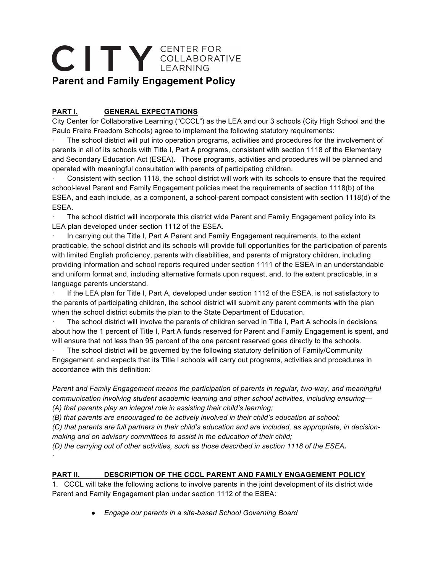# CITY CENTER FOR **Parent and Family Engagement Policy**

## **PART I. GENERAL EXPECTATIONS**

·

City Center for Collaborative Learning ("CCCL") as the LEA and our 3 schools (City High School and the Paulo Freire Freedom Schools) agree to implement the following statutory requirements:

The school district will put into operation programs, activities and procedures for the involvement of parents in all of its schools with Title I, Part A programs, consistent with section 1118 of the Elementary and Secondary Education Act (ESEA). Those programs, activities and procedures will be planned and operated with meaningful consultation with parents of participating children.

Consistent with section 1118, the school district will work with its schools to ensure that the required school-level Parent and Family Engagement policies meet the requirements of section 1118(b) of the ESEA, and each include, as a component, a school-parent compact consistent with section 1118(d) of the ESEA.

The school district will incorporate this district wide Parent and Family Engagement policy into its LEA plan developed under section 1112 of the ESEA.

In carrying out the Title I, Part A Parent and Family Engagement requirements, to the extent practicable, the school district and its schools will provide full opportunities for the participation of parents with limited English proficiency, parents with disabilities, and parents of migratory children, including providing information and school reports required under section 1111 of the ESEA in an understandable and uniform format and, including alternative formats upon request, and, to the extent practicable, in a language parents understand.

If the LEA plan for Title I, Part A, developed under section 1112 of the ESEA, is not satisfactory to the parents of participating children, the school district will submit any parent comments with the plan when the school district submits the plan to the State Department of Education.

The school district will involve the parents of children served in Title I, Part A schools in decisions about how the 1 percent of Title I, Part A funds reserved for Parent and Family Engagement is spent, and will ensure that not less than 95 percent of the one percent reserved goes directly to the schools.

· The school district will be governed by the following statutory definition of Family/Community Engagement, and expects that its Title I schools will carry out programs, activities and procedures in accordance with this definition:

*Parent and Family Engagement means the participation of parents in regular, two-way, and meaningful communication involving student academic learning and other school activities, including ensuring— (A) that parents play an integral role in assisting their child's learning;*

*(B) that parents are encouraged to be actively involved in their child's education at school;*

*(C) that parents are full partners in their child's education and are included, as appropriate, in decisionmaking and on advisory committees to assist in the education of their child;*

*(D) the carrying out of other activities, such as those described in section 1118 of the ESEA.*

## **PART II. DESCRIPTION OF THE CCCL PARENT AND FAMILY ENGAGEMENT POLICY**

1. CCCL will take the following actions to involve parents in the joint development of its district wide Parent and Family Engagement plan under section 1112 of the ESEA:

● *Engage our parents in a site-based School Governing Board*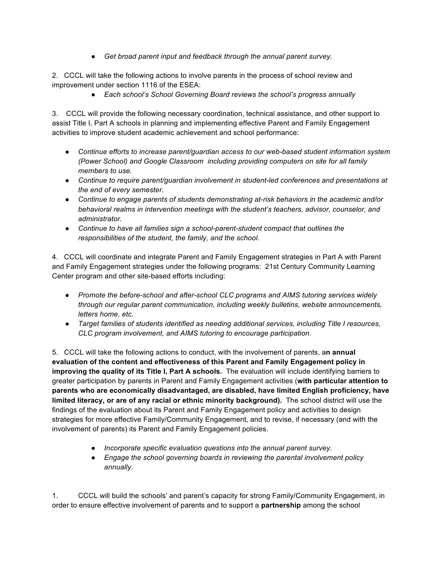● *Get broad parent input and feedback through the annual parent survey.*

2. CCCL will take the following actions to involve parents in the process of school review and improvement under section 1116 of the ESEA:

● *Each school's School Governing Board reviews the school's progress annually*

3. CCCL will provide the following necessary coordination, technical assistance, and other support to assist Title I, Part A schools in planning and implementing effective Parent and Family Engagement activities to improve student academic achievement and school performance:

- *Continue efforts to increase parent/guardian access to our web-based student information system (Power School) and Google Classroom including providing computers on site for all family members to use.*
- *Continue to require parent/guardian involvement in student-led conferences and presentations at the end of every semester.*
- *Continue to engage parents of students demonstrating at-risk behaviors in the academic and/or behavioral realms in intervention meetings with the student's teachers, advisor, counselor, and administrator.*
- *Continue to have all families sign a school-parent-student compact that outlines the responsibilities of the student, the family, and the school.*

4. CCCL will coordinate and integrate Parent and Family Engagement strategies in Part A with Parent and Family Engagement strategies under the following programs: 21st Century Community Learning Center program and other site-based efforts including:

- *Promote the before-school and after-school CLC programs and AIMS tutoring services widely through our regular parent communication, including weekly bulletins, website announcements, letters home, etc.*
- *Target families of students identified as needing additional services, including Title I resources, CLC program involvement, and AIMS tutoring to encourage participation.*

5. CCCL will take the following actions to conduct, with the involvement of parents, a**n annual evaluation of the content and effectiveness of this Parent and Family Engagement policy in improving the quality of its Title I, Part A schools.** The evaluation will include identifying barriers to greater participation by parents in Parent and Family Engagement activities (**with particular attention to parents who are economically disadvantaged, are disabled, have limited English proficiency, have limited literacy, or are of any racial or ethnic minority background).** The school district will use the findings of the evaluation about its Parent and Family Engagement policy and activities to design strategies for more effective Family/Community Engagement, and to revise, if necessary (and with the involvement of parents) its Parent and Family Engagement policies.

- *Incorporate specific evaluation questions into the annual parent survey.*
- *Engage the school governing boards in reviewing the parental involvement policy annually.*

1. CCCL will build the schools' and parent's capacity for strong Family/Community Engagement, in order to ensure effective involvement of parents and to support a **partnership** among the school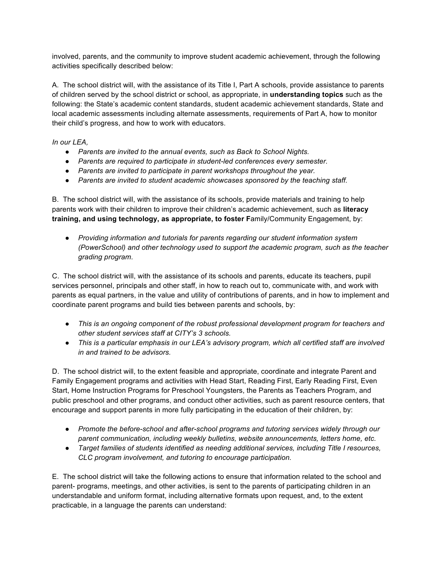involved, parents, and the community to improve student academic achievement, through the following activities specifically described below:

A. The school district will, with the assistance of its Title I, Part A schools, provide assistance to parents of children served by the school district or school, as appropriate, in **understanding topics** such as the following: the State's academic content standards, student academic achievement standards, State and local academic assessments including alternate assessments, requirements of Part A, how to monitor their child's progress, and how to work with educators.

*In our LEA,* 

- *Parents are invited to the annual events, such as Back to School Nights.*
- *Parents are required to participate in student-led conferences every semester.*
- *Parents are invited to participate in parent workshops throughout the year.*
- *Parents are invited to student academic showcases sponsored by the teaching staff.*

B. The school district will, with the assistance of its schools, provide materials and training to help parents work with their children to improve their children's academic achievement, such as **literacy training, and using technology, as appropriate, to foster F**amily/Community Engagement, by:

● *Providing information and tutorials for parents regarding our student information system (PowerSchool) and other technology used to support the academic program, such as the teacher grading program.*

C. The school district will, with the assistance of its schools and parents, educate its teachers, pupil services personnel, principals and other staff, in how to reach out to, communicate with, and work with parents as equal partners, in the value and utility of contributions of parents, and in how to implement and coordinate parent programs and build ties between parents and schools, by:

- *This is an ongoing component of the robust professional development program for teachers and other student services staff at CITY's 3 schools.*
- *This is a particular emphasis in our LEA's advisory program, which all certified staff are involved in and trained to be advisors.*

D. The school district will, to the extent feasible and appropriate, coordinate and integrate Parent and Family Engagement programs and activities with Head Start, Reading First, Early Reading First, Even Start, Home Instruction Programs for Preschool Youngsters, the Parents as Teachers Program, and public preschool and other programs, and conduct other activities, such as parent resource centers, that encourage and support parents in more fully participating in the education of their children, by:

- *Promote the before-school and after-school programs and tutoring services widely through our parent communication, including weekly bulletins, website announcements, letters home, etc.*
- *Target families of students identified as needing additional services, including Title I resources, CLC program involvement, and tutoring to encourage participation.*

E. The school district will take the following actions to ensure that information related to the school and parent- programs, meetings, and other activities, is sent to the parents of participating children in an understandable and uniform format, including alternative formats upon request, and, to the extent practicable, in a language the parents can understand: